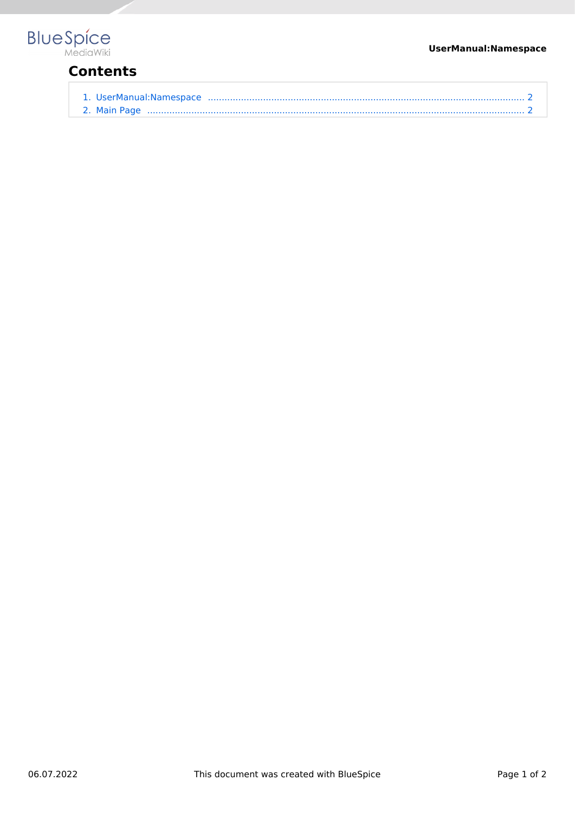### **UserManual:Namespace**



# **Contents**